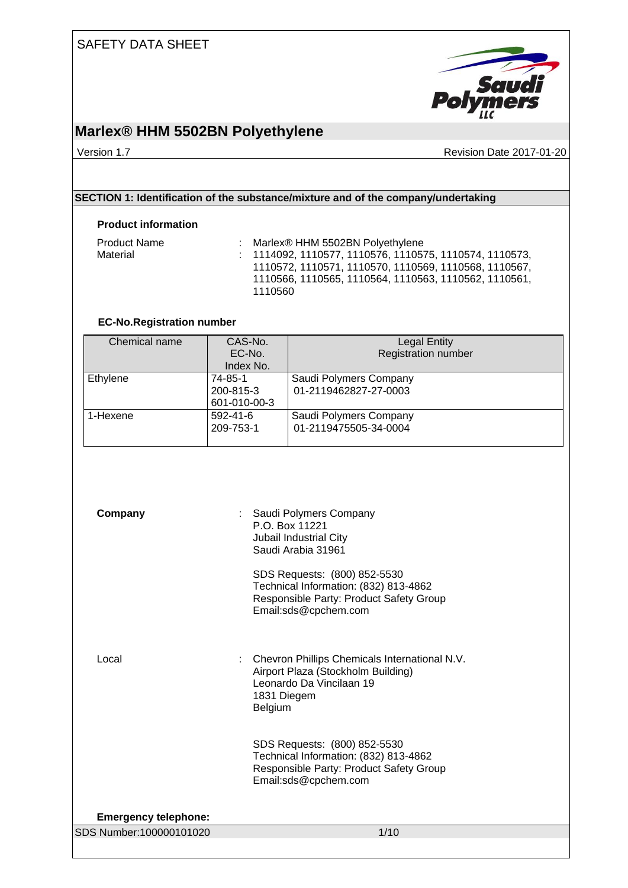

# **Marlex® HHM 5502BN Polyethylene**

Version 1.7 **New Search 2017-01-20** Revision Date 2017-01-20

### **SECTION 1: Identification of the substance/mixture and of the company/undertaking**

### **Product information**

| <b>Product Name</b> | : Marlex $\otimes$ HHM 5502BN Polyethylene                |
|---------------------|-----------------------------------------------------------|
| Material            | $: 1114092, 1110577, 1110576, 1110575, 1110574, 1110573,$ |
|                     | 1110572, 1110571, 1110570, 1110569, 1110568, 1110567,     |
|                     | 1110566, 1110565, 1110564, 1110563, 1110562, 1110561,     |
|                     | 1110560                                                   |

### **EC-No.Registration number**

| Chemical name | CAS-No.<br>EC-No.<br>Index No.       | <b>Legal Entity</b><br><b>Registration number</b> |
|---------------|--------------------------------------|---------------------------------------------------|
| Ethylene      | 74-85-1<br>200-815-3<br>601-010-00-3 | Saudi Polymers Company<br>01-2119462827-27-0003   |
| 1-Hexene      | 592-41-6<br>209-753-1                | Saudi Polymers Company<br>01-2119475505-34-0004   |

|                             | Airport Plaza (Stockholm Building)<br>Leonardo Da Vincilaan 19<br>1831 Diegem<br>Belgium<br>SDS Requests: (800) 852-5530 |
|-----------------------------|--------------------------------------------------------------------------------------------------------------------------|
| <b>Emergency telephone:</b> | Technical Information: (832) 813-4862<br>Responsible Party: Product Safety Group<br>Email:sds@cpchem.com                 |
| SDS Number:100000101020     | 1/10                                                                                                                     |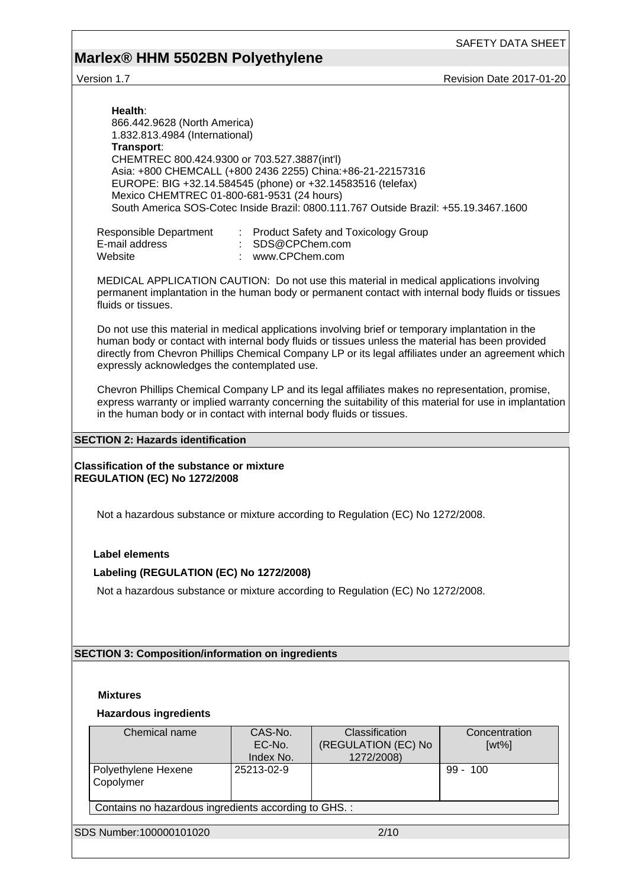## **Marlex® HHM 5502BN Polyethylene**

Version 1.7 **New Search 2017-01-20** Revision Date 2017-01-20

**Health**: 866.442.9628 (North America) 1.832.813.4984 (International) **Transport**: CHEMTREC 800.424.9300 or 703.527.3887(int'l) Asia: +800 CHEMCALL (+800 2436 2255) China:+86-21-22157316 EUROPE: BIG +32.14.584545 (phone) or +32.14583516 (telefax) Mexico CHEMTREC 01-800-681-9531 (24 hours) South America SOS-Cotec Inside Brazil: 0800.111.767 Outside Brazil: +55.19.3467.1600 Responsible Department : Product Safety and Toxicology Group<br>E-mail address : SDS@CPChem.com

E-mail address : SDS@CPChem.com : www.CPChem.com

MEDICAL APPLICATION CAUTION: Do not use this material in medical applications involving permanent implantation in the human body or permanent contact with internal body fluids or tissues fluids or tissues.

Do not use this material in medical applications involving brief or temporary implantation in the human body or contact with internal body fluids or tissues unless the material has been provided directly from Chevron Phillips Chemical Company LP or its legal affiliates under an agreement which expressly acknowledges the contemplated use.

Chevron Phillips Chemical Company LP and its legal affiliates makes no representation, promise, express warranty or implied warranty concerning the suitability of this material for use in implantation in the human body or in contact with internal body fluids or tissues.

### **SECTION 2: Hazards identification**

**Classification of the substance or mixture REGULATION (EC) No 1272/2008**

Not a hazardous substance or mixture according to Regulation (EC) No 1272/2008.

### **Label elements**

### **Labeling (REGULATION (EC) No 1272/2008)**

Not a hazardous substance or mixture according to Regulation (EC) No 1272/2008.

**SECTION 3: Composition/information on ingredients**

### **Mixtures**

### **Hazardous ingredients**

| Chemical name                                         | CAS-No.<br>EC-No.<br>Index No. | Classification<br>(REGULATION (EC) No<br>1272/2008) | Concentration<br>$[wt\%]$ |
|-------------------------------------------------------|--------------------------------|-----------------------------------------------------|---------------------------|
| Polyethylene Hexene<br>Copolymer                      | 25213-02-9                     |                                                     | $99 - 100$                |
| Contains no hazardous ingredients according to GHS. : |                                |                                                     |                           |
| SDS Number:100000101020                               |                                | 2/10                                                |                           |
|                                                       |                                |                                                     |                           |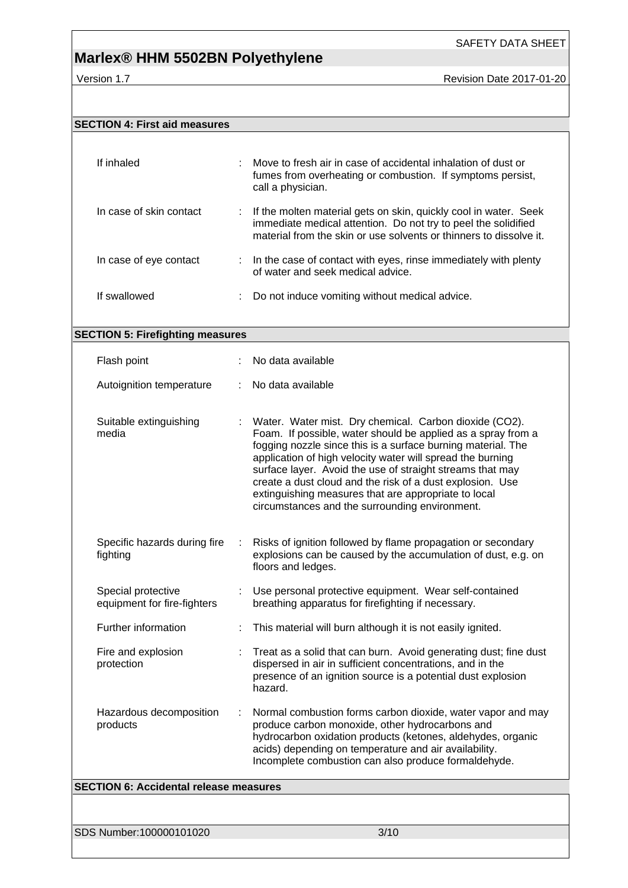version 1.7 **Newsight 2017-01-20** Revision Date 2017-01-20

| <b>SECTION 4: First aid measures</b>              |   |                                                                                                                                                                                                                                                                                                                                                                                                                                                                                          |
|---------------------------------------------------|---|------------------------------------------------------------------------------------------------------------------------------------------------------------------------------------------------------------------------------------------------------------------------------------------------------------------------------------------------------------------------------------------------------------------------------------------------------------------------------------------|
|                                                   |   |                                                                                                                                                                                                                                                                                                                                                                                                                                                                                          |
| If inhaled                                        |   | Move to fresh air in case of accidental inhalation of dust or<br>fumes from overheating or combustion. If symptoms persist,<br>call a physician.                                                                                                                                                                                                                                                                                                                                         |
| In case of skin contact                           |   | If the molten material gets on skin, quickly cool in water. Seek<br>immediate medical attention. Do not try to peel the solidified<br>material from the skin or use solvents or thinners to dissolve it.                                                                                                                                                                                                                                                                                 |
| In case of eye contact                            |   | : In the case of contact with eyes, rinse immediately with plenty<br>of water and seek medical advice.                                                                                                                                                                                                                                                                                                                                                                                   |
| If swallowed                                      |   | Do not induce vomiting without medical advice.                                                                                                                                                                                                                                                                                                                                                                                                                                           |
| <b>SECTION 5: Firefighting measures</b>           |   |                                                                                                                                                                                                                                                                                                                                                                                                                                                                                          |
| Flash point                                       |   | No data available                                                                                                                                                                                                                                                                                                                                                                                                                                                                        |
|                                                   |   |                                                                                                                                                                                                                                                                                                                                                                                                                                                                                          |
| Autoignition temperature                          |   | No data available                                                                                                                                                                                                                                                                                                                                                                                                                                                                        |
| Suitable extinguishing<br>media                   |   | Water. Water mist. Dry chemical. Carbon dioxide (CO2).<br>Foam. If possible, water should be applied as a spray from a<br>fogging nozzle since this is a surface burning material. The<br>application of high velocity water will spread the burning<br>surface layer. Avoid the use of straight streams that may<br>create a dust cloud and the risk of a dust explosion. Use<br>extinguishing measures that are appropriate to local<br>circumstances and the surrounding environment. |
| Specific hazards during fire<br>fighting          | ÷ | Risks of ignition followed by flame propagation or secondary<br>explosions can be caused by the accumulation of dust, e.g. on<br>floors and ledges.                                                                                                                                                                                                                                                                                                                                      |
| Special protective<br>equipment for fire-fighters |   | Use personal protective equipment. Wear self-contained<br>breathing apparatus for firefighting if necessary.                                                                                                                                                                                                                                                                                                                                                                             |
| Further information                               |   | This material will burn although it is not easily ignited.                                                                                                                                                                                                                                                                                                                                                                                                                               |
| Fire and explosion<br>protection                  |   | Treat as a solid that can burn. Avoid generating dust; fine dust<br>dispersed in air in sufficient concentrations, and in the<br>presence of an ignition source is a potential dust explosion<br>hazard.                                                                                                                                                                                                                                                                                 |
| Hazardous decomposition<br>products               |   | Normal combustion forms carbon dioxide, water vapor and may<br>produce carbon monoxide, other hydrocarbons and<br>hydrocarbon oxidation products (ketones, aldehydes, organic<br>acids) depending on temperature and air availability.<br>Incomplete combustion can also produce formaldehyde.                                                                                                                                                                                           |
| <b>SECTION 6: Accidental release measures</b>     |   |                                                                                                                                                                                                                                                                                                                                                                                                                                                                                          |
|                                                   |   |                                                                                                                                                                                                                                                                                                                                                                                                                                                                                          |
|                                                   |   |                                                                                                                                                                                                                                                                                                                                                                                                                                                                                          |
| SDS Number:100000101020                           |   | 3/10                                                                                                                                                                                                                                                                                                                                                                                                                                                                                     |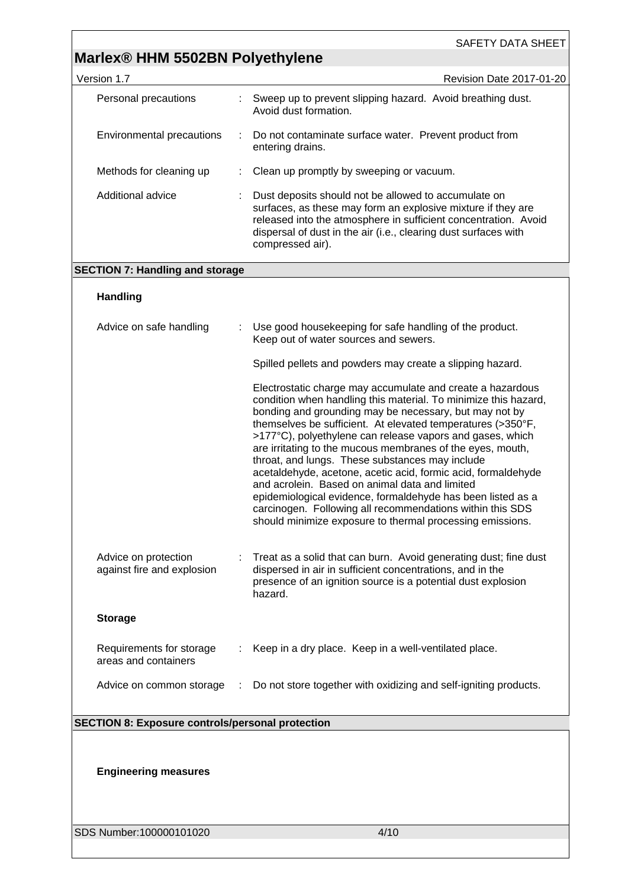| Version 1.7                                             | Revision Date 2017-01-20                                                                                                                                                                                                                                                                                                                                                                                                                                                                                                                                                                                                                                                                                                                         |
|---------------------------------------------------------|--------------------------------------------------------------------------------------------------------------------------------------------------------------------------------------------------------------------------------------------------------------------------------------------------------------------------------------------------------------------------------------------------------------------------------------------------------------------------------------------------------------------------------------------------------------------------------------------------------------------------------------------------------------------------------------------------------------------------------------------------|
| Personal precautions                                    | Sweep up to prevent slipping hazard. Avoid breathing dust.<br>Avoid dust formation.                                                                                                                                                                                                                                                                                                                                                                                                                                                                                                                                                                                                                                                              |
| Environmental precautions<br>÷                          | Do not contaminate surface water. Prevent product from<br>entering drains.                                                                                                                                                                                                                                                                                                                                                                                                                                                                                                                                                                                                                                                                       |
| Methods for cleaning up                                 | Clean up promptly by sweeping or vacuum.                                                                                                                                                                                                                                                                                                                                                                                                                                                                                                                                                                                                                                                                                                         |
| Additional advice                                       | Dust deposits should not be allowed to accumulate on<br>surfaces, as these may form an explosive mixture if they are<br>released into the atmosphere in sufficient concentration. Avoid<br>dispersal of dust in the air (i.e., clearing dust surfaces with<br>compressed air).                                                                                                                                                                                                                                                                                                                                                                                                                                                                   |
| <b>SECTION 7: Handling and storage</b>                  |                                                                                                                                                                                                                                                                                                                                                                                                                                                                                                                                                                                                                                                                                                                                                  |
| <b>Handling</b>                                         |                                                                                                                                                                                                                                                                                                                                                                                                                                                                                                                                                                                                                                                                                                                                                  |
| Advice on safe handling                                 | Use good housekeeping for safe handling of the product.<br>Keep out of water sources and sewers.                                                                                                                                                                                                                                                                                                                                                                                                                                                                                                                                                                                                                                                 |
|                                                         | Spilled pellets and powders may create a slipping hazard.                                                                                                                                                                                                                                                                                                                                                                                                                                                                                                                                                                                                                                                                                        |
|                                                         | Electrostatic charge may accumulate and create a hazardous<br>condition when handling this material. To minimize this hazard,<br>bonding and grounding may be necessary, but may not by<br>themselves be sufficient. At elevated temperatures (>350°F,<br>>177°C), polyethylene can release vapors and gases, which<br>are irritating to the mucous membranes of the eyes, mouth,<br>throat, and lungs. These substances may include<br>acetaldehyde, acetone, acetic acid, formic acid, formaldehyde<br>and acrolein. Based on animal data and limited<br>epidemiological evidence, formaldehyde has been listed as a<br>carcinogen. Following all recommendations within this SDS<br>should minimize exposure to thermal processing emissions. |
| Advice on protection<br>against fire and explosion      | Treat as a solid that can burn. Avoid generating dust; fine dust<br>dispersed in air in sufficient concentrations, and in the<br>presence of an ignition source is a potential dust explosion<br>hazard.                                                                                                                                                                                                                                                                                                                                                                                                                                                                                                                                         |
| <b>Storage</b>                                          |                                                                                                                                                                                                                                                                                                                                                                                                                                                                                                                                                                                                                                                                                                                                                  |
| Requirements for storage<br>areas and containers        | Keep in a dry place. Keep in a well-ventilated place.<br>÷                                                                                                                                                                                                                                                                                                                                                                                                                                                                                                                                                                                                                                                                                       |
| Advice on common storage                                | Do not store together with oxidizing and self-igniting products.<br>÷                                                                                                                                                                                                                                                                                                                                                                                                                                                                                                                                                                                                                                                                            |
| <b>SECTION 8: Exposure controls/personal protection</b> |                                                                                                                                                                                                                                                                                                                                                                                                                                                                                                                                                                                                                                                                                                                                                  |
|                                                         |                                                                                                                                                                                                                                                                                                                                                                                                                                                                                                                                                                                                                                                                                                                                                  |
| <b>Engineering measures</b>                             |                                                                                                                                                                                                                                                                                                                                                                                                                                                                                                                                                                                                                                                                                                                                                  |
| SDS Number:100000101020                                 | 4/10                                                                                                                                                                                                                                                                                                                                                                                                                                                                                                                                                                                                                                                                                                                                             |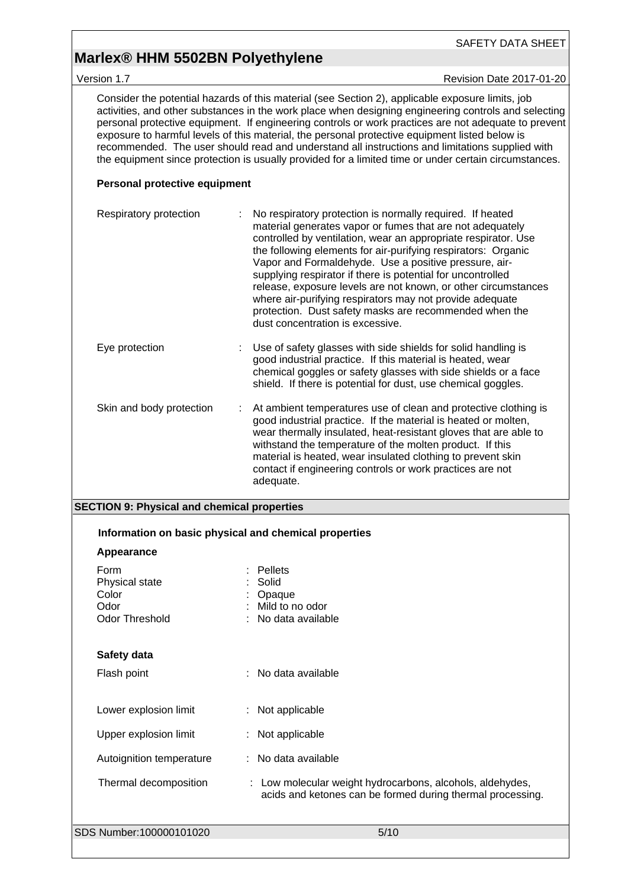Version 1.7 **New Series 2017-01-20** Revision Date 2017-01-20

Consider the potential hazards of this material (see Section 2), applicable exposure limits, job activities, and other substances in the work place when designing engineering controls and selecting personal protective equipment. If engineering controls or work practices are not adequate to prevent exposure to harmful levels of this material, the personal protective equipment listed below is recommended. The user should read and understand all instructions and limitations supplied with the equipment since protection is usually provided for a limited time or under certain circumstances.

### **Personal protective equipment**

| Respiratory protection   | No respiratory protection is normally required. If heated<br>material generates vapor or fumes that are not adequately<br>controlled by ventilation, wear an appropriate respirator. Use<br>the following elements for air-purifying respirators: Organic<br>Vapor and Formaldehyde. Use a positive pressure, air-<br>supplying respirator if there is potential for uncontrolled<br>release, exposure levels are not known, or other circumstances<br>where air-purifying respirators may not provide adequate<br>protection. Dust safety masks are recommended when the<br>dust concentration is excessive. |  |
|--------------------------|---------------------------------------------------------------------------------------------------------------------------------------------------------------------------------------------------------------------------------------------------------------------------------------------------------------------------------------------------------------------------------------------------------------------------------------------------------------------------------------------------------------------------------------------------------------------------------------------------------------|--|
| Eye protection           | Use of safety glasses with side shields for solid handling is<br>good industrial practice. If this material is heated, wear<br>chemical goggles or safety glasses with side shields or a face<br>shield. If there is potential for dust, use chemical goggles.                                                                                                                                                                                                                                                                                                                                                |  |
| Skin and body protection | At ambient temperatures use of clean and protective clothing is<br>good industrial practice. If the material is heated or molten,<br>wear thermally insulated, heat-resistant gloves that are able to<br>withstand the temperature of the molten product. If this<br>material is heated, wear insulated clothing to prevent skin<br>contact if engineering controls or work practices are not<br>adequate.                                                                                                                                                                                                    |  |

### **SECTION 9: Physical and chemical properties**

|                                                                  | Information on basic physical and chemical properties                                                                   |  |  |
|------------------------------------------------------------------|-------------------------------------------------------------------------------------------------------------------------|--|--|
| Appearance                                                       |                                                                                                                         |  |  |
| Form<br>Physical state<br>Color<br>Odor<br><b>Odor Threshold</b> | <b>Pellets</b><br>Solid<br>Opaque<br>Mild to no odor<br>No data available                                               |  |  |
| Safety data                                                      |                                                                                                                         |  |  |
| Flash point                                                      | No data available                                                                                                       |  |  |
| Lower explosion limit                                            | : Not applicable                                                                                                        |  |  |
| Upper explosion limit                                            | : Not applicable                                                                                                        |  |  |
| Autoignition temperature                                         | : No data available                                                                                                     |  |  |
| Thermal decomposition                                            | : Low molecular weight hydrocarbons, alcohols, aldehydes,<br>acids and ketones can be formed during thermal processing. |  |  |
| SDS Number:100000101020                                          | 5/10                                                                                                                    |  |  |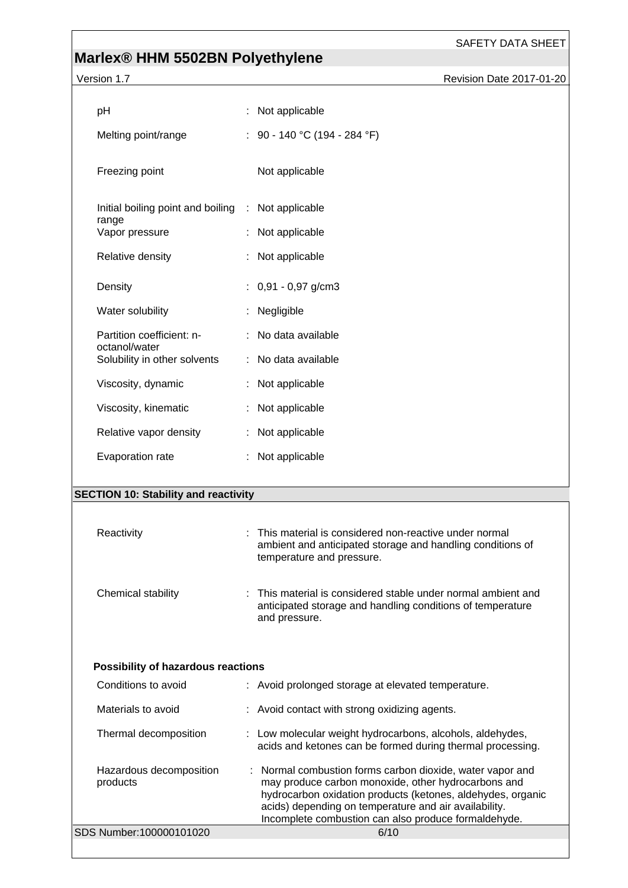# **Marlex® HHM 5502BN Polyethylene**

Version 1.7 Revision Date 2017-01-20

| pH                                                 | : Not applicable                                                                                                                                   |
|----------------------------------------------------|----------------------------------------------------------------------------------------------------------------------------------------------------|
| Melting point/range                                | : 90 - 140 °C (194 - 284 °F)                                                                                                                       |
| Freezing point                                     | Not applicable                                                                                                                                     |
| Initial boiling point and boiling : Not applicable |                                                                                                                                                    |
| range<br>Vapor pressure                            | : Not applicable                                                                                                                                   |
| Relative density                                   | : Not applicable                                                                                                                                   |
| Density                                            | $: 0,91 - 0,97$ g/cm3                                                                                                                              |
| Water solubility                                   | : Negligible                                                                                                                                       |
| Partition coefficient: n-<br>octanol/water         | : No data available                                                                                                                                |
| Solubility in other solvents                       | : No data available                                                                                                                                |
| Viscosity, dynamic                                 | : Not applicable                                                                                                                                   |
| Viscosity, kinematic                               | : Not applicable                                                                                                                                   |
| Relative vapor density                             | : Not applicable                                                                                                                                   |
| Evaporation rate                                   | : Not applicable                                                                                                                                   |
|                                                    |                                                                                                                                                    |
| <b>SECTION 10: Stability and reactivity</b>        |                                                                                                                                                    |
| Reactivity                                         | : This material is considered non-reactive under normal<br>ambient and anticipated storage and handling conditions of<br>temperature and pressure. |
|                                                    |                                                                                                                                                    |

| Chemical stability | : This material is considered stable under normal ambient and               |
|--------------------|-----------------------------------------------------------------------------|
|                    | anticipated storage and handling conditions of temperature<br>and pressure. |
|                    |                                                                             |

### **Possibility of hazardous reactions**

| Conditions to avoid                 | : Avoid prolonged storage at elevated temperature.                                                                                                                                                                                                                                               |
|-------------------------------------|--------------------------------------------------------------------------------------------------------------------------------------------------------------------------------------------------------------------------------------------------------------------------------------------------|
| Materials to avoid                  | : Avoid contact with strong oxidizing agents.                                                                                                                                                                                                                                                    |
| Thermal decomposition               | : Low molecular weight hydrocarbons, alcohols, aldehydes,<br>acids and ketones can be formed during thermal processing.                                                                                                                                                                          |
| Hazardous decomposition<br>products | : Normal combustion forms carbon dioxide, water vapor and<br>may produce carbon monoxide, other hydrocarbons and<br>hydrocarbon oxidation products (ketones, aldehydes, organic<br>acids) depending on temperature and air availability.<br>Incomplete combustion can also produce formaldehyde. |
| SDS Number:100000101020             | 6/10                                                                                                                                                                                                                                                                                             |
|                                     |                                                                                                                                                                                                                                                                                                  |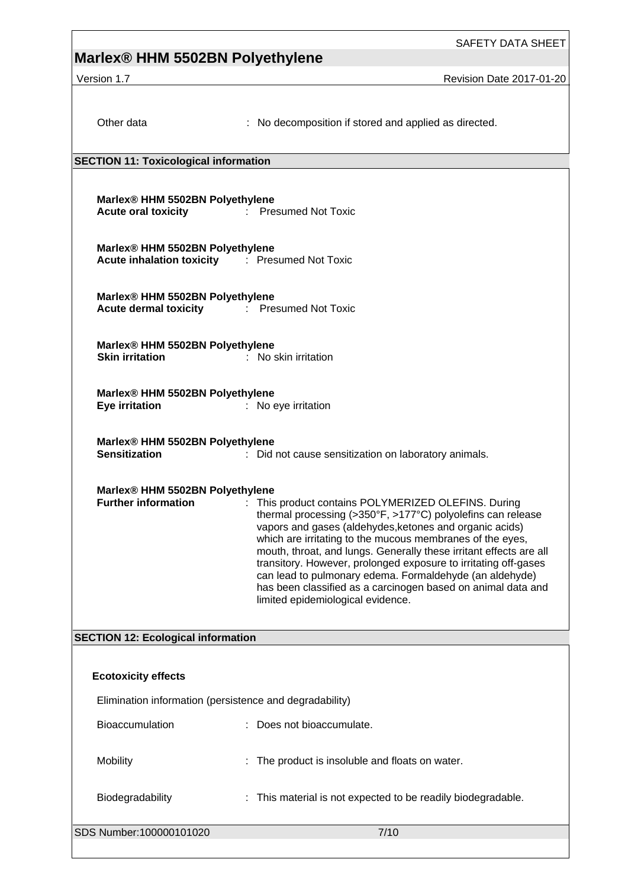# **Marlex® HHM 5502BN Polyethylene**

Version 1.7 **Version 1.7** Revision Date 2017-01-20

| Other data                                                                           | : No decomposition if stored and applied as directed.                                                                                                                                                                                                                                                                                                                                                                                                                                                                                               |
|--------------------------------------------------------------------------------------|-----------------------------------------------------------------------------------------------------------------------------------------------------------------------------------------------------------------------------------------------------------------------------------------------------------------------------------------------------------------------------------------------------------------------------------------------------------------------------------------------------------------------------------------------------|
| <b>SECTION 11: Toxicological information</b>                                         |                                                                                                                                                                                                                                                                                                                                                                                                                                                                                                                                                     |
| Marlex® HHM 5502BN Polyethylene<br><b>Acute oral toxicity</b> : Presumed Not Toxic   |                                                                                                                                                                                                                                                                                                                                                                                                                                                                                                                                                     |
| Marlex® HHM 5502BN Polyethylene<br>Acute inhalation toxicity : Presumed Not Toxic    |                                                                                                                                                                                                                                                                                                                                                                                                                                                                                                                                                     |
| Marlex® HHM 5502BN Polyethylene<br><b>Acute dermal toxicity</b> : Presumed Not Toxic |                                                                                                                                                                                                                                                                                                                                                                                                                                                                                                                                                     |
| Marlex® HHM 5502BN Polyethylene<br><b>Skin irritation</b>                            | : No skin irritation                                                                                                                                                                                                                                                                                                                                                                                                                                                                                                                                |
| Marlex® HHM 5502BN Polyethylene<br>Eye irritation                                    | : No eye irritation                                                                                                                                                                                                                                                                                                                                                                                                                                                                                                                                 |
| Marlex® HHM 5502BN Polyethylene<br><b>Sensitization</b>                              | : Did not cause sensitization on laboratory animals.                                                                                                                                                                                                                                                                                                                                                                                                                                                                                                |
| Marlex® HHM 5502BN Polyethylene<br><b>Further information</b>                        | : This product contains POLYMERIZED OLEFINS. During<br>thermal processing (>350°F, >177°C) polyolefins can release<br>vapors and gases (aldehydes, ketones and organic acids)<br>which are irritating to the mucous membranes of the eyes,<br>mouth, throat, and lungs. Generally these irritant effects are all<br>transitory. However, prolonged exposure to irritating off-gases<br>can lead to pulmonary edema. Formaldehyde (an aldehyde)<br>has been classified as a carcinogen based on animal data and<br>limited epidemiological evidence. |
| <b>SECTION 12: Ecological information</b>                                            |                                                                                                                                                                                                                                                                                                                                                                                                                                                                                                                                                     |
| <b>Ecotoxicity effects</b>                                                           |                                                                                                                                                                                                                                                                                                                                                                                                                                                                                                                                                     |
| Elimination information (persistence and degradability)                              |                                                                                                                                                                                                                                                                                                                                                                                                                                                                                                                                                     |
| Bioaccumulation                                                                      | Does not bioaccumulate.                                                                                                                                                                                                                                                                                                                                                                                                                                                                                                                             |
| Mobility                                                                             | The product is insoluble and floats on water.                                                                                                                                                                                                                                                                                                                                                                                                                                                                                                       |
| Biodegradability                                                                     | This material is not expected to be readily biodegradable.                                                                                                                                                                                                                                                                                                                                                                                                                                                                                          |

SDS Number:100000101020 7/10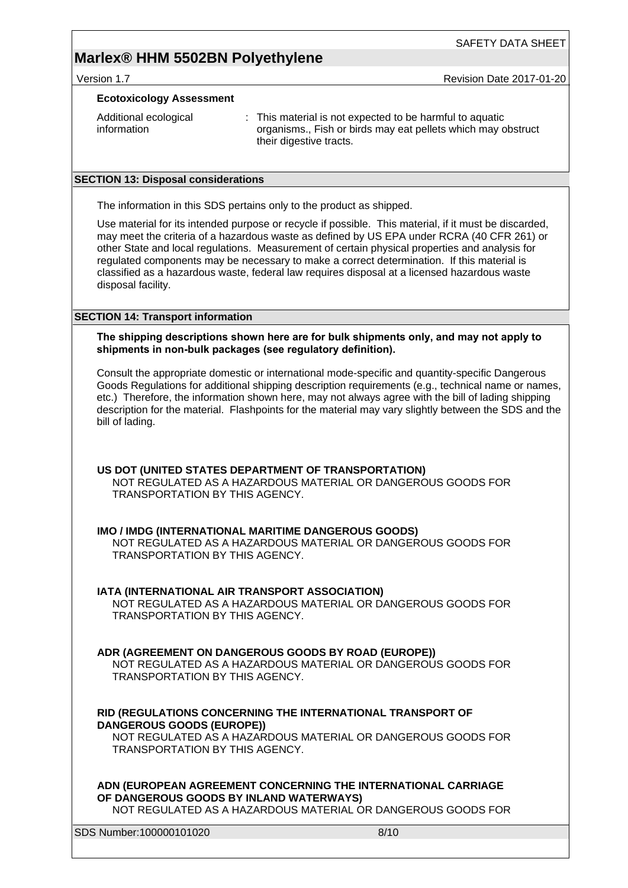Version 1.7 **Network 2017-01-20 Revision Date 2017-01-20** 

### **Ecotoxicology Assessment**

| Additional ecological | : This material is not expected to be harmful to aquatic     |
|-----------------------|--------------------------------------------------------------|
| information           | organisms., Fish or birds may eat pellets which may obstruct |
|                       | their digestive tracts.                                      |

### **SECTION 13: Disposal considerations**

The information in this SDS pertains only to the product as shipped.

Use material for its intended purpose or recycle if possible. This material, if it must be discarded, may meet the criteria of a hazardous waste as defined by US EPA under RCRA (40 CFR 261) or other State and local regulations. Measurement of certain physical properties and analysis for regulated components may be necessary to make a correct determination. If this material is classified as a hazardous waste, federal law requires disposal at a licensed hazardous waste disposal facility.

### **SECTION 14: Transport information**

**The shipping descriptions shown here are for bulk shipments only, and may not apply to shipments in non-bulk packages (see regulatory definition).**

Consult the appropriate domestic or international mode-specific and quantity-specific Dangerous Goods Regulations for additional shipping description requirements (e.g., technical name or names, etc.) Therefore, the information shown here, may not always agree with the bill of lading shipping description for the material. Flashpoints for the material may vary slightly between the SDS and the bill of lading.

**US DOT (UNITED STATES DEPARTMENT OF TRANSPORTATION)** NOT REGULATED AS A HAZARDOUS MATERIAL OR DANGEROUS GOODS FOR TRANSPORTATION BY THIS AGENCY.

### **IMO / IMDG (INTERNATIONAL MARITIME DANGEROUS GOODS)**

NOT REGULATED AS A HAZARDOUS MATERIAL OR DANGEROUS GOODS FOR TRANSPORTATION BY THIS AGENCY.

### **IATA (INTERNATIONAL AIR TRANSPORT ASSOCIATION)**

NOT REGULATED AS A HAZARDOUS MATERIAL OR DANGEROUS GOODS FOR TRANSPORTATION BY THIS AGENCY.

### **ADR (AGREEMENT ON DANGEROUS GOODS BY ROAD (EUROPE))**

NOT REGULATED AS A HAZARDOUS MATERIAL OR DANGEROUS GOODS FOR TRANSPORTATION BY THIS AGENCY.

### **RID (REGULATIONS CONCERNING THE INTERNATIONAL TRANSPORT OF DANGEROUS GOODS (EUROPE))**

NOT REGULATED AS A HAZARDOUS MATERIAL OR DANGEROUS GOODS FOR TRANSPORTATION BY THIS AGENCY.

**ADN (EUROPEAN AGREEMENT CONCERNING THE INTERNATIONAL CARRIAGE OF DANGEROUS GOODS BY INLAND WATERWAYS)**

NOT REGULATED AS A HAZARDOUS MATERIAL OR DANGEROUS GOODS FOR

SDS Number:100000101020 8/10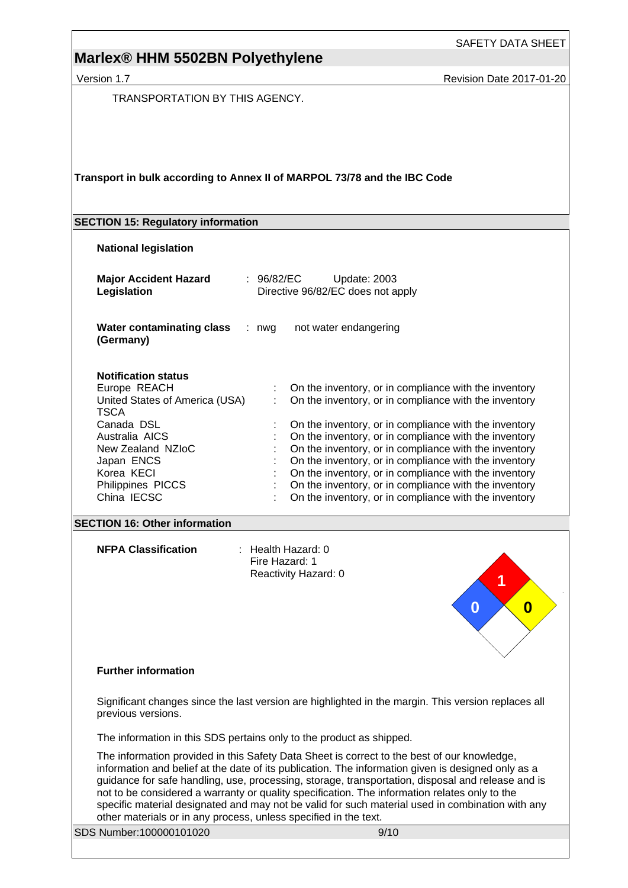Version 1.7 **New Search 2017-01-20** Revision Date 2017-01-20

TRANSPORTATION BY THIS AGENCY.

### **Transport in bulk according to Annex II of MARPOL 73/78 and the IBC Code**

### **SECTION 15: Regulatory information**

### **National legislation**

| <b>Major Accident Hazard</b><br>Legislation                                                                                                                                                               | : 96/82/EC<br>Update: 2003<br>Directive 96/82/EC does not apply                                                                                                                                                                                                                                                                                                                                                                                                                                                                          |  |
|-----------------------------------------------------------------------------------------------------------------------------------------------------------------------------------------------------------|------------------------------------------------------------------------------------------------------------------------------------------------------------------------------------------------------------------------------------------------------------------------------------------------------------------------------------------------------------------------------------------------------------------------------------------------------------------------------------------------------------------------------------------|--|
| <b>Water contaminating class</b><br>(Germany)                                                                                                                                                             | not water endangering<br>: nwg                                                                                                                                                                                                                                                                                                                                                                                                                                                                                                           |  |
| <b>Notification status</b><br>Europe REACH<br>United States of America (USA)<br>TSCA<br>Canada DSL<br>Australia AICS<br>New Zealand NZIoC<br>Japan ENCS<br>Korea KECI<br>Philippines PICCS<br>China IECSC | On the inventory, or in compliance with the inventory<br>On the inventory, or in compliance with the inventory<br>÷<br>On the inventory, or in compliance with the inventory<br>On the inventory, or in compliance with the inventory<br>On the inventory, or in compliance with the inventory<br>On the inventory, or in compliance with the inventory<br>t.<br>On the inventory, or in compliance with the inventory<br>On the inventory, or in compliance with the inventory<br>On the inventory, or in compliance with the inventory |  |

### **SECTION 16: Other information**

**NFPA Classification** : Health Hazard: 0 Fire Hazard: 1 Reactivity Hazard: 0



### **Further information**

Significant changes since the last version are highlighted in the margin. This version replaces all previous versions.

The information in this SDS pertains only to the product as shipped.

The information provided in this Safety Data Sheet is correct to the best of our knowledge, information and belief at the date of its publication. The information given is designed only as a guidance for safe handling, use, processing, storage, transportation, disposal and release and is not to be considered a warranty or quality specification. The information relates only to the specific material designated and may not be valid for such material used in combination with any other materials or in any process, unless specified in the text.

SDS Number:100000101020 9/10